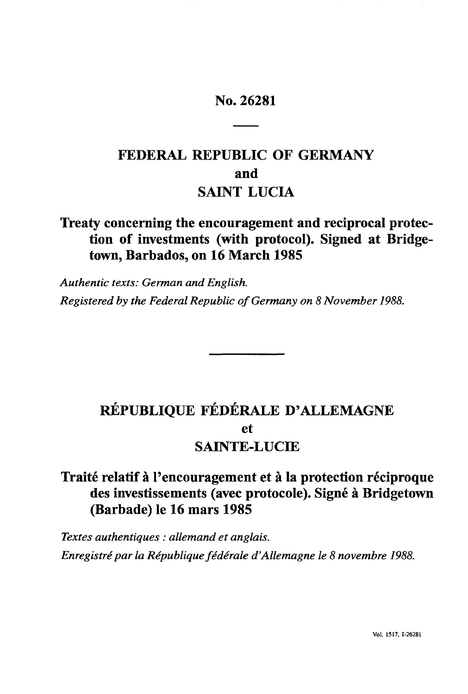# No. 26281

# **FEDERAL REPUBLIC OF GERMANY and SAINT LUCIA**

# **Treaty concerning the encouragement and reciprocal protection of investments (with protocol). Signed at Bridgetown, Barbados, on 16 March 1985**

*Authentic texts: German and English. Registered by the Federal Republic of Germany on* 8 *November 1988.* 

# **RÉPUBLIQUE FÉDÉRALE D'ALLEMAGNE et SAINTE-LUCIE**

# **Traite relatif a I'encouragement et a la protection reciproque des investissements (avec protocole). Signe a Bridgetown (Barbade) Ie 16 mars 1985**

*Textes authentiques* : *allemand et anglais. Enregistre par la Republiquefederale d'Allemagne Ie* 8 *novembre 1988.*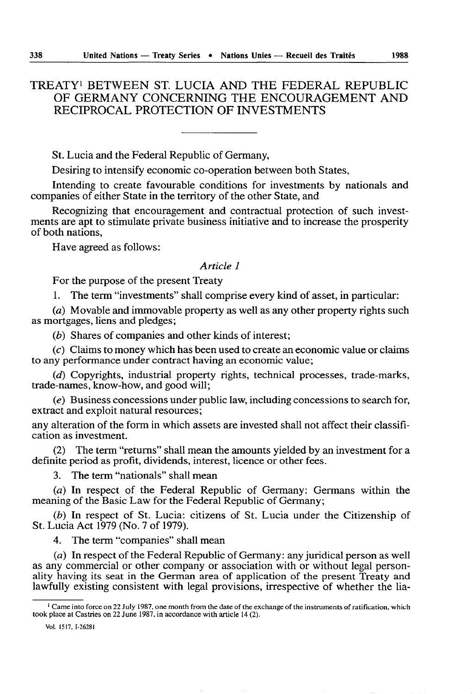# TREATY I BETWEEN ST. LUCIA AND THE FEDERAL REPUBLIC OF GERMANY CONCERNING THE ENCOURAGEMENT AND RECIPROCAL PROTECTION OF INVESTMENTS

St. Lucia and the Federal Republic of Germany,

Desiring to intensify economic co-operation between both States,

Intending to create favourable conditions for investments by nationals and companies of either State in the territory of the other State, and

Recognizing that encouragement and contractual protection of such investments are apt to stimulate private business initiative and to increase the prosperity of both nations,

Have agreed as follows:

#### *Article 1*

For the purpose of the present Treaty

1. The term "investments" shall comprise every kind of asset, in particular:

(a) Movable and immovable property as well as any other property rights such as mortgages, liens and pledges;

(b) Shares of companies and other kinds of interest;

(c) Claims to money which has been used to create an economic value or claims to any performance under contract having an economic value;

(d) Copyrights, industrial property rights, technical processes, trade-marks, trade-names, know-how, and good will;

(e) Business concessions under public law, including concessions to search for, extract and exploit natural resources;

any alteration of the form in which assets are invested shall not affect their classification as investment.

(2) The term "returns" shall mean the amounts yielded by an investment for a definite period as profit, dividends, interest, licence or other fees.

3. The term "nationals" shall mean

(a) In respect of the Federal Republic of Germany: Germans within the meaning of the Basic Law for the Federal Republic of Germany;

(b) In respect of St. Lucia: citizens of St. Lucia under the Citizenship of St. Lucia Act 1979 (No.7 of 1979).

4. The term "companies" shall mean

(a) In respect of the Federal Republic of Germany: any juridical person as well as any commercial or other company or association with or without legal personality having its seat in the German area of application of the present Treaty and lawfully existing consistent with legal provisions, irrespective of whether the lia-

 $I<sup>1</sup>$  Came into force on 22 July 1987, one month from the date of the exchange of the instruments of ratification, which took place at Castries on 22 June 1987. in accordance with article 14 (2).

Vol. 1517,1-26281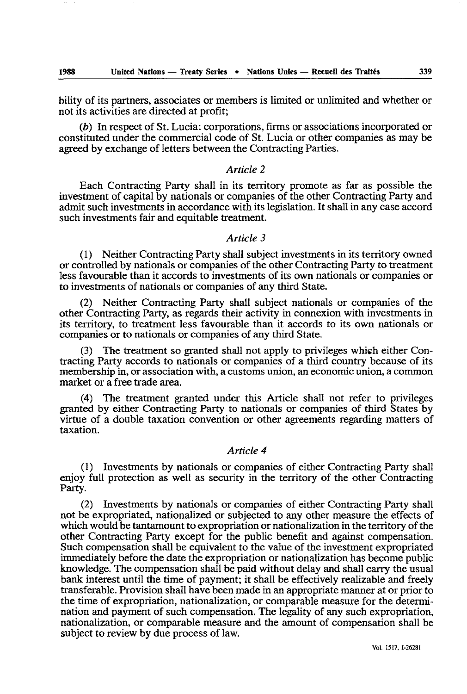bility of its partners, associates or members is limited or unlimited and whether or not its activities are directed at profit;

(b) In respect of St. Lucia: corporations, firms or associations incorporated or constituted under the commercial code of *St.* Lucia or other companies as may be agreed by exchange of letters between the Contracting Parties.

# *Article 2*

Each Contracting Party shall in its territory promote as far as possible the investment of capital by nationals or companies of the other Contracting Party and admit such investments in accordance with its legislation. It shall in any case accord such investments fair and equitable treatment.

#### *Article 3*

(1) Neither Contracting Party shall subject investments in its territory owned or controlled by nationals or companies of the other Contracting Party to treatment less favourable than it accords to investments of its own nationals or companies or to investments of nationals or companies of any third State.

(2) Neither Contracting Party shall subject nationals or companies of the other Contracting Party, as regards their activity in connexion with investments in its territory, to treatment less favourable than it accords to its own nationals or companies or to nationals or companies of any third State.

 $(3)$  The treatment so granted shall not apply to privileges which either Contracting Party accords to nationals or companies of a third country because of its membership in, or association with, a customs union, an economic union, a common market or a free trade area.

(4) The treatment granted under this Article shall not refer to privileges granted by either Contracting Party to nationals or companies of third States by virtue of a double taxation convention or other agreements regarding matters of taxation.

## *Article 4*

(1) Investments by nationals or companies of either Contracting Party shall enjoy full protection as well as security in the territory of the other Contracting Party.

(2) Investments by nationals or companies of either Contracting Party shall not be expropriated. nationalized or subjected to any other measure the effects of which would be tantamount to expropriation or nationalization in the territory of the other Contracting Party except for the public benefit and against compensation. Such compensation shall be equivalent to the value of the investment expropriated immediately before the date the expropriation or nationalization has become public knowledge. The compensation shall be paid without delay and shall carry the usual bank interest until the time of payment; it shall be effectively realizable and freely transferable. Provision shall have been made in an appropriate manner at or prior to the time of expropriation, nationalization, or comparable measure for the determination and payment of such compensation. The legality of any such expropriation, nationalization, or comparable measure and the amount of compensation shall be subject to review by due process of law.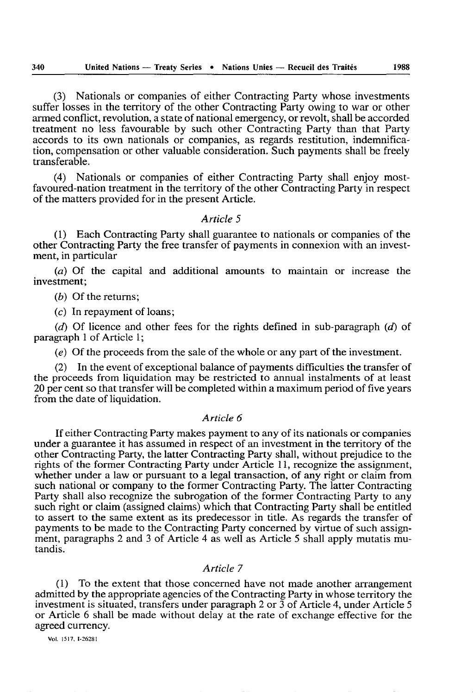(3) Nationals or companies of either Contracting Party whose investments suffer losses in the territory of the other Contracting Party owing to war or other armed conflict, revolution, a state of national emergency, or revolt, shall be accorded treatment no less favourable by such other Contracting Party than that Party accords to its own nationals or companies, as regards restitution, indemnification, compensation or other valuable consideration. Such payments shall be freely transferable.

(4) Nationals or companies of either Contracting Party shall enjoy mostfavoured-nation treatment in the territory of the other Contracting Party in respect of the matters provided for in the present Article.

# *Article 5*

(1) Each Contracting Party shall guarantee to nationals or companies of the other Contracting Party the free transfer of payments in connexion with an investment, in particular

(a) Of the capital and additional amounts to maintain or increase the investment;

(b) Of the returns;

 $(c)$  In repayment of loans;

(d) Of licence and other fees for the rights defined in sub-paragraph (d) of paragraph 1 of Article 1;

(e) Of the proceeds from the sale of the whole or any part of the investment.

(2) In the event of exceptional balance of payments difficulties the transfer of the proceeds from liquidation may be restricted to annual instalments of at least 20 per cent so that transfer will be completed within a maximum period of five years from the date of liquidation.

#### *Article 6*

If either Contracting Party makes payment to any of its nationals or companies under a guarantee it has assumed in respect of an investment in the territory of the other Contracting Party, the latter Contracting Party shall, without prejudice to the rights of the former Contracting Party under Article 11, recognize the assignment, whether under a law or pursuant to a legal transaction, of any right or claim from such national or company to the former Contracting Party. The latter Contracting Party shall also recognize the subrogation of the former Contracting Party to any such right or claim (assigned claims) which that Contracting Party shall be entitled to assert to the same extent as its predecessor in title. As regards the transfer of payments to be made to the Contracting Party concerned by virtue of such assignment, paragraphs 2 and 3 of Article 4 as well as Article 5 shall apply mutatis mutandis.

## *Article 7*

(1) To the extent that those concerned have not made another arrangement admitted by the appropriate agencies of the Contracting Party in whose territory the investment is situated, transfers under paragraph 2 or 3 of Article 4, under Article 5 or Article 6 shall be made without delay at the rate of exchange effective for the agreed currency.

Vol. 1517, (·26281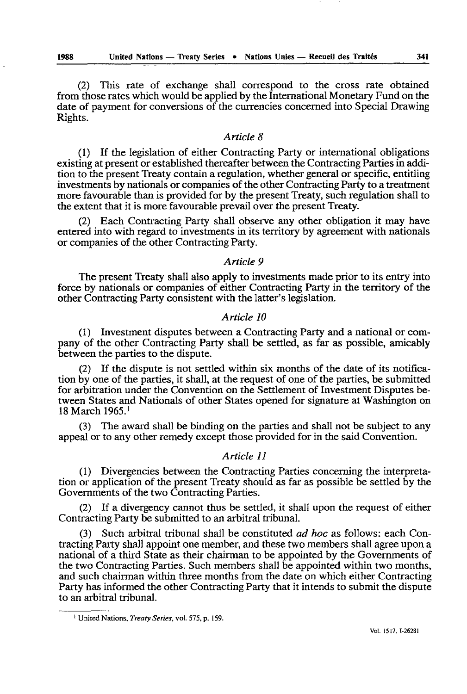(2) This rate of exchange shall correspond to the cross rate obtained from those rates which would be applied by the International Monetary Fund on the date of payment for conversions of the currencies concerned into Special Drawing Rights.

# *Article 8*

(I) If the legislation of either Contracting Party or international obligations existing at present or established thereafter between the Contracting Parties in addition to the present Treaty contain a regulation, whether general or specific, entitling investments by nationals or companies of the other Contracting Party to a treatment more favourable than is provided for by the present Treaty, such regulation shall to the extent that it is more favourable prevail over the present Treaty.

(2) Each Contracting Party shall observe any other obligation it may have entered into with regard to investments in its territory by agreement with nationals or companies of the other Contracting Party.

*Article 9* 

The present Treaty shall also apply to investments made prior to its entry into force by nationals or companies of either Contracting Party in the territory of the other Contracting Party consistent with the latter's legislation.

### *Article 10*

(1) Investment disputes between a Contracting Party and a national or company of the other Contracting Party shall be settled, as far as possible, amicably between the parties to the dispute.

(2) If the dispute is not settled within six months of the date of its notification by one of the parties, it shall, at the request of one of the parties, be submitted for arbitration under the Convention on the Settlement of Investment Disputes between States and Nationals of other States opened for signature at Washington on 18 March 1965.1

(3) The award shall be binding on the parties and shall not be subject to any appeal or to any other remedy except those provided for in the said Convention.

# *Article 11*

(1) Divergencies between the Contracting Parties concerning the interpretation or application of the present Treaty should as far as possible be settled by the Governments of the two Contracting Parties.

(2) If a divergency cannot thus be settled, it shall upon the request of either Contracting Party be submitted to an arbitral tribunal.

(3) Such arbitral tribunal shall be constituted *ad hoc* as follows: each Contracting Party shall appoint one member, and these two members shall agree upon a national of a third State as their chairman to be appointed by the Governments of the two Contracting Parties. Such members shall be appointed within two months, and such chairman within three months from the date on which either Contracting Party has informed the other Contracting Party that it intends to submit the dispute to an arbitral tribunal.

<sup>&</sup>lt;sup>1</sup> United Nations, *Treaty Series*, vol. 575, p. 159.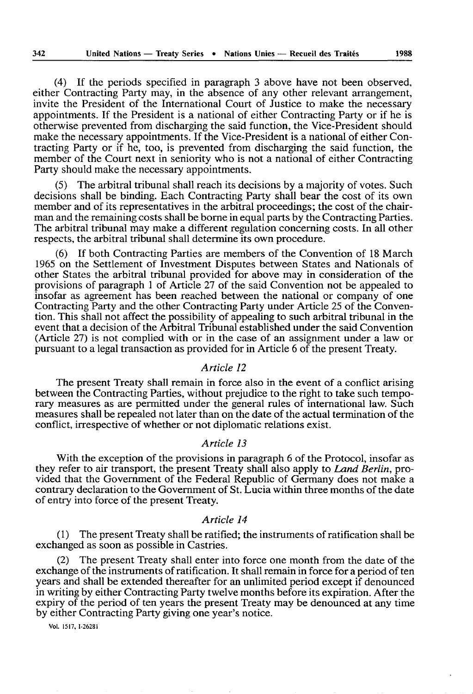(4) If the periods specified in paragraph 3 above have not been observed. either Contracting Party may, in the absence of any other relevant arrangement, invite the President of the International Court of Justice to make the necessary appointments. If the President is a national of either Contracting Party or if he is otherwise prevented from discharging the said function, the Vice-President should make the necessary appointments. If the Vice-President is a national of either Contracting Party or if he, too, is prevented from discharging the said function, the member of the Court next in seniority who is not a national of either Contracting Party should make the necessary appointments.

(5) The arbitral tribunal shall reach its decisions by a majority of votes. Such decisions shall be binding. Each Contracting Party shall bear the cost of its own member and of its representatives in the arbitral proceedings; the cost of the chairman and the remaining costs shall be borne in equal parts by the Contracting Parties. The arbitral tribunal may make a different regulation concerning costs. In all other respects, the arbitral tribunal shall determine its own procedure.

(6) If both Contracting Parties are members of the Convention of 18 March 1965 on the Settlement of Investment Disputes between States and Nationals of other States the arbitral tribunal provided for above may in consideration of the provisions of paragraph 1 of Article 27 of the said Convention not be appealed to insofar as agreement has been reached between the national or company of one Contracting Party and the other Contracting Party under Article 25 of the Convention. This shall not affect the possibility of appealing to such arbitral tribunal in the event that a decision of the Arbitral Tribunal established under the said Convention (Article 27) is not complied with or in the case of an assignment under a law or pursuant to a legal transaction as provided for in Article 6 of the present Treaty.

#### *Article 12*

The present Treaty shall remain in force also in the event of a conflict arising between the Contracting Parties, without prejudice to the right to take such temporary measures as are permitted under the general rules of international law. Such measures shall be repealed not later than on the date of the actual termination of the conflict, irrespective of whether or not diplomatic relations exist.

# *Article 13*

With the exception of the provisions in paragraph 6 of the Protocol, insofar as they refer to air transport, the present Treaty shall also apply to *Land Berlin,* provided that the Government of the Federal Republic of Germany does not make a contrary declaration to the Government of St. Lucia within three months of the date of entry into force of the present Treaty.

#### *Article 14*

(1) The present Treaty shall be ratified; the instruments of ratification shall be exchanged as soon as possible in Castries.

(2) The present Treaty shall enter into force one month from the date of the exchange of the instruments of ratification. It shall remain in force for a period of ten years and shall be extended thereafter for an unlimited period except if denounced in writing by either Contracting Party twelve months before its expiration. After the expiry of the period of ten years the present Treaty may be denounced at any time by either Contracting Party giving one year's notice.

Vol. 1517.1-26281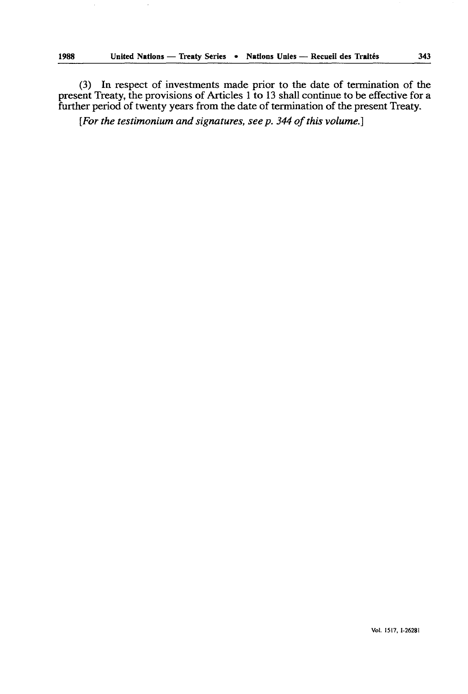(3) In respect of investments made prior to the date of termination of the present Treaty, the provisions of Articles 1 to 13 shall continue to be effective for a further period of twenty years from the date of termination of the present Treaty.

*[For the testimonium and signatures, see p.* 344 *of this volume.]*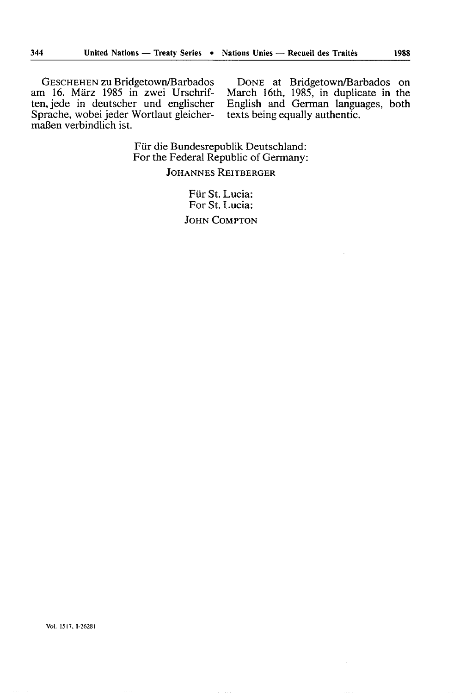GESCHEHEN zu Bridgetown/Barbados am 16. Marz 1985 in zwei Urschriften, jede in deutscher und englischer Sprache, wobei jeder Wortlaut gleichermaßen verbindlich ist.

DONE at Bridgetown/Barbados on March 16th, 1985, in duplicate in the English and German languages, both texts being equally authentic.

Für die Bundesrepublik Deutschland: For the Federal Republic of Germany:

JOHANNES REITBERGER

Für St. Lucia: For St. Lucia: JOHN COMPTON

Vol. 1517.1·26281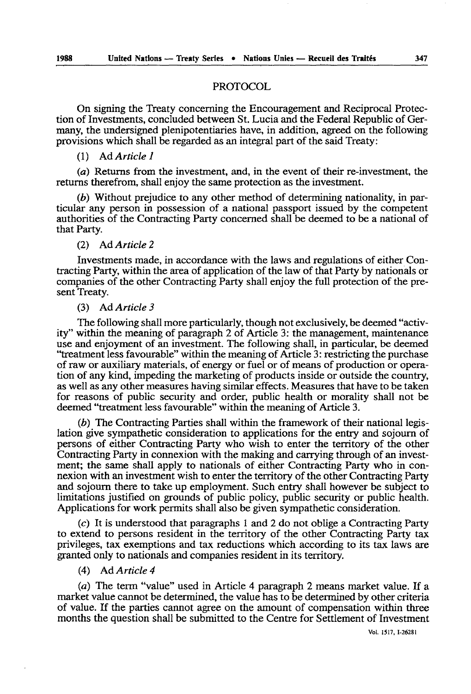## PROTOCOL

On signing the Treaty concerning the Encouragement and Reciprocal Protection of Investments, concluded between St. Lucia and the Federal Republic of Germany, the undersigned plenipotentiaries have, in addition, agreed on the following provisions which shall be regarded as an integral part of the said Treaty:

#### (1 ) Ad *Article 1*

(a) Returns from the investment, and, in the event of their re-investment, the returns therefrom, shall enjoy the same protection as the investment.

 $(b)$  Without prejudice to any other method of determining nationality, in particular any person in possession of a national passport issued by the competent authorities of the Contracting Party concerned shall be deemed to be a national of that Party.

#### (2) Ad *Article 2*

Investments made, in accordance with the laws and regulations of either Contracting Party, within the area of application of the law of that Party by nationals or companies of the other Contracting Party shall enjoy the full protection of the present Treaty.

#### (3) Ad *Article 3*

The following shall more particularly, though not exclusively, be deemed "activity" within the meaning of paragraph 2 of Article 3: the management, maintenance use and enjoyment of an investment. The following shall, in particular, be deemed "treatment less favourable" within the meaning of Article 3: restricting the purchase of raw or auxiliary materials, of energy or fuel or of means of production or operation of any kind, impeding the marketing of products inside or outside the country, as well as any other measures having similar effects. Measures that have to be taken for reasons of public security and order, public health or morality shall not be deemed "treatment less favourable" within the meaning of Article 3.

(b) The Contracting Parties shall within the framework of their national legislation give sympathetic consideration to applications for the entry and sojourn of persons of either Contracting Party who wish to enter the territory of the other Contracting Party in connexion with the making and carrying through of an investment; the same shall apply to nationals of either Contracting Party who in connexion with an investment wish to enter the territory of the other Contracting Party and sojourn there to take up employment. Such entry shall however be subject to limitations justified on grounds of public policy, public security or public health. Applications for work permits shall also be given sympathetic consideration.

(c) It is understood that paragraphs 1 and 2 do not oblige a Contracting Party to extend to persons resident in the territory of the other Contracting Party tax privileges, tax exemptions and tax reductions which according to its tax laws are granted only to nationals and companies resident in its territory.

### (4) Ad *Article 4*

(a) The term "value" used in Article 4 paragraph 2 means market value. If a market value cannot be determined, the value has to be determined by other criteria of value. If the parties cannot agree on the amount of compensation within three months the question shall be submitted to the Centre for Settlement of Investment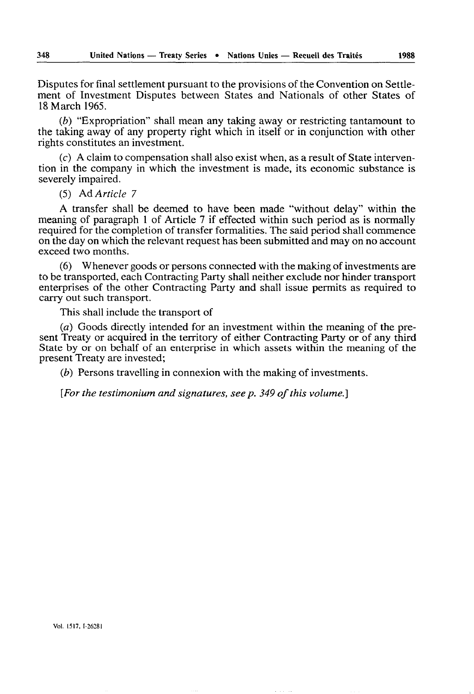Disputes for final settlement pursuant to the provisions of the Convention on Settlement of Investment Disputes between States and Nationals of other States of 18 March 1965.

(b) "Expropriation" shall mean any taking away or restricting tantamount to the taking away of any property right which in itself or in conjunction with other rights constitutes an investment.

 $(c)$  A claim to compensation shall also exist when, as a result of State intervention in the company in which the investment is made, its economic substance is severely impaired.

(5) Ad *Article 7* 

A transfer shall be deemed to have been made "without delay" within the meaning of paragraph 1 of Article 7 if effected within such period as is normally required for the completion of transfer formalities. The said period shall commence on the day on which the relevant request has been submitted and may on no account exceed two months.

(6) Whenever goods or persons connected with the making of investments are to be transported, each Contracting Party shall neither exclude nor hinder transport enterprises of the other Contracting Party and shall issue permits as required to carry out such transport.

This shall include the transport of

(a) Goods directly intended for an investment within the meaning of the present Treaty or acquired in the territory of either Contracting Party or of any third State by or on behalf of an enterprise in which assets within the meaning of the present Treaty are invested;

(b) Persons travelling in connexion with the making of investments.

*[For the testimonium and signatures, see p.* 349 *of this volume.]*